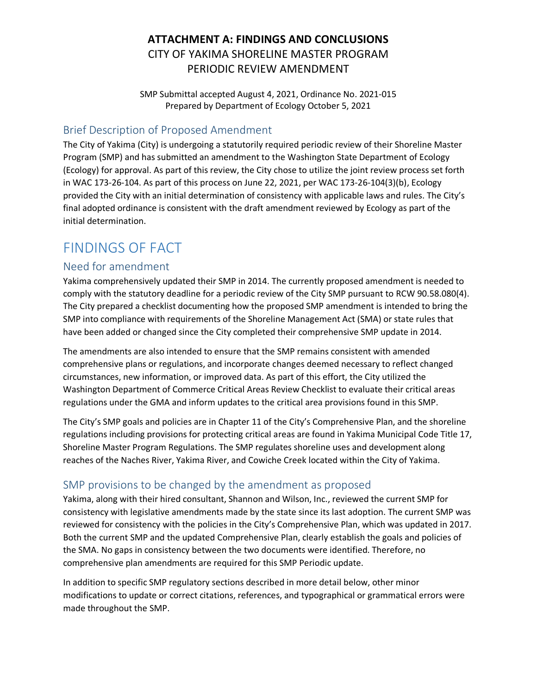# **ATTACHMENT A: FINDINGS AND CONCLUSIONS** CITY OF YAKIMA SHORELINE MASTER PROGRAM PERIODIC REVIEW AMENDMENT

SMP Submittal accepted August 4, 2021, Ordinance No. 2021-015 Prepared by Department of Ecology October 5, 2021

## Brief Description of Proposed Amendment

The City of Yakima (City) is undergoing a statutorily required periodic review of their Shoreline Master Program (SMP) and has submitted an amendment to the Washington State Department of Ecology (Ecology) for approval. As part of this review, the City chose to utilize the joint review process set forth in WAC 173-26-104. As part of this process on June 22, 2021, per WAC 173-26-104(3)(b), Ecology provided the City with an initial determination of consistency with applicable laws and rules. The City's final adopted ordinance is consistent with the draft amendment reviewed by Ecology as part of the initial determination.

# FINDINGS OF FACT

## Need for amendment

Yakima comprehensively updated their SMP in 2014. The currently proposed amendment is needed to comply with the statutory deadline for a periodic review of the City SMP pursuant to RCW 90.58.080(4). The City prepared a checklist documenting how the proposed SMP amendment is intended to bring the SMP into compliance with requirements of the Shoreline Management Act (SMA) or state rules that have been added or changed since the City completed their comprehensive SMP update in 2014.

The amendments are also intended to ensure that the SMP remains consistent with amended comprehensive plans or regulations, and incorporate changes deemed necessary to reflect changed circumstances, new information, or improved data. As part of this effort, the City utilized the Washington Department of Commerce Critical Areas Review Checklist to evaluate their critical areas regulations under the GMA and inform updates to the critical area provisions found in this SMP.

The City's SMP goals and policies are in Chapter 11 of the City's Comprehensive Plan, and the shoreline regulations including provisions for protecting critical areas are found in Yakima Municipal Code Title 17, Shoreline Master Program Regulations. The SMP regulates shoreline uses and development along reaches of the Naches River, Yakima River, and Cowiche Creek located within the City of Yakima.

## SMP provisions to be changed by the amendment as proposed

Yakima, along with their hired consultant, Shannon and Wilson, Inc., reviewed the current SMP for consistency with legislative amendments made by the state since its last adoption. The current SMP was reviewed for consistency with the policies in the City's Comprehensive Plan, which was updated in 2017. Both the current SMP and the updated Comprehensive Plan, clearly establish the goals and policies of the SMA. No gaps in consistency between the two documents were identified. Therefore, no comprehensive plan amendments are required for this SMP Periodic update.

In addition to specific SMP regulatory sections described in more detail below, other minor modifications to update or correct citations, references, and typographical or grammatical errors were made throughout the SMP.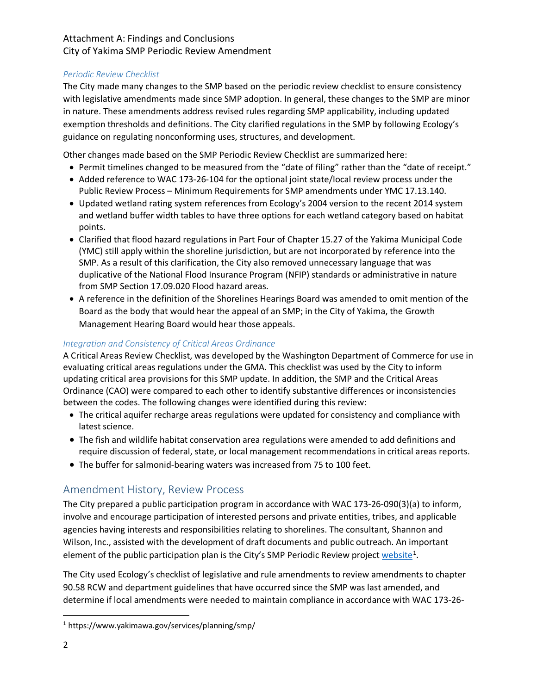#### *Periodic Review Checklist*

The City made many changes to the SMP based on the periodic review checklist to ensure consistency with legislative amendments made since SMP adoption. In general, these changes to the SMP are minor in nature. These amendments address revised rules regarding SMP applicability, including updated exemption thresholds and definitions. The City clarified regulations in the SMP by following Ecology's guidance on regulating nonconforming uses, structures, and development.

Other changes made based on the SMP Periodic Review Checklist are summarized here:

- Permit timelines changed to be measured from the "date of filing" rather than the "date of receipt."
- Added reference to WAC 173-26-104 for the optional joint state/local review process under the Public Review Process – Minimum Requirements for SMP amendments under YMC 17.13.140.
- Updated wetland rating system references from Ecology's 2004 version to the recent 2014 system and wetland buffer width tables to have three options for each wetland category based on habitat points.
- Clarified that flood hazard regulations in Part Four of Chapter 15.27 of the Yakima Municipal Code (YMC) still apply within the shoreline jurisdiction, but are not incorporated by reference into the SMP. As a result of this clarification, the City also removed unnecessary language that was duplicative of the National Flood Insurance Program (NFIP) standards or administrative in nature from SMP Section 17.09.020 Flood hazard areas.
- A reference in the definition of the Shorelines Hearings Board was amended to omit mention of the Board as the body that would hear the appeal of an SMP; in the City of Yakima, the Growth Management Hearing Board would hear those appeals.

#### *Integration and Consistency of Critical Areas Ordinance*

A Critical Areas Review Checklist, was developed by the Washington Department of Commerce for use in evaluating critical areas regulations under the GMA. This checklist was used by the City to inform updating critical area provisions for this SMP update. In addition, the SMP and the Critical Areas Ordinance (CAO) were compared to each other to identify substantive differences or inconsistencies between the codes. The following changes were identified during this review:

- The critical aquifer recharge areas regulations were updated for consistency and compliance with latest science.
- The fish and wildlife habitat conservation area regulations were amended to add definitions and require discussion of federal, state, or local management recommendations in critical areas reports.
- The buffer for salmonid-bearing waters was increased from 75 to 100 feet.

## Amendment History, Review Process

The City prepared a public participation program in accordance with WAC 173-26-090(3)(a) to inform, involve and encourage participation of interested persons and private entities, tribes, and applicable agencies having interests and responsibilities relating to shorelines. The consultant, Shannon and Wilson, Inc., assisted with the development of draft documents and public outreach. An important element of the public participation plan is the City's SMP Periodic Review project [website](https://www.yakimawa.gov/services/planning/smp/)<sup>[1](#page-1-0)</sup>.

The City used Ecology's checklist of legislative and rule amendments to review amendments to chapter 90.58 RCW and department guidelines that have occurred since the SMP was last amended, and determine if local amendments were needed to maintain compliance in accordance with WAC 173-26-

<span id="page-1-0"></span> <sup>1</sup> https://www.yakimawa.gov/services/planning/smp/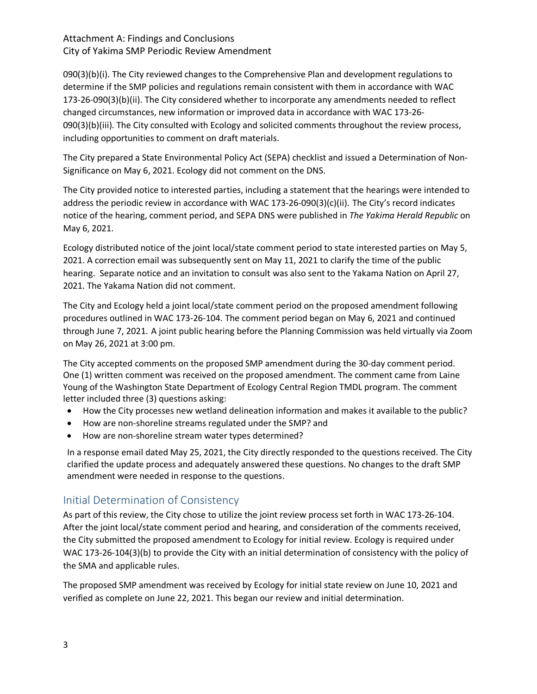090(3)(b)(i). The City reviewed changes to the Comprehensive Plan and development regulations to determine if the SMP policies and regulations remain consistent with them in accordance with WAC 173-26-090(3)(b)(ii). The City considered whether to incorporate any amendments needed to reflect changed circumstances, new information or improved data in accordance with WAC 173-26- 090(3)(b)(iii). The City consulted with Ecology and solicited comments throughout the review process, including opportunities to comment on draft materials.

The City prepared a State Environmental Policy Act (SEPA) checklist and issued a Determination of Non-Significance on May 6, 2021. Ecology did not comment on the DNS.

The City provided notice to interested parties, including a statement that the hearings were intended to address the periodic review in accordance with WAC 173-26-090(3)(c)(ii). The City's record indicates notice of the hearing, comment period, and SEPA DNS were published in *The Yakima Herald Republic* on May 6, 2021.

Ecology distributed notice of the joint local/state comment period to state interested parties on May 5, 2021. A correction email was subsequently sent on May 11, 2021 to clarify the time of the public hearing. Separate notice and an invitation to consult was also sent to the Yakama Nation on April 27, 2021. The Yakama Nation did not comment.

The City and Ecology held a joint local/state comment period on the proposed amendment following procedures outlined in WAC 173-26-104. The comment period began on May 6, 2021 and continued through June 7, 2021. A joint public hearing before the Planning Commission was held virtually via Zoom on May 26, 2021 at 3:00 pm.

The City accepted comments on the proposed SMP amendment during the 30-day comment period. One (1) written comment was received on the proposed amendment. The comment came from Laine Young of the Washington State Department of Ecology Central Region TMDL program. The comment letter included three (3) questions asking:

- How the City processes new wetland delineation information and makes it available to the public?
- How are non-shoreline streams regulated under the SMP? and
- How are non-shoreline stream water types determined?

In a response email dated May 25, 2021, the City directly responded to the questions received. The City clarified the update process and adequately answered these questions. No changes to the draft SMP amendment were needed in response to the questions.

# Initial Determination of Consistency

As part of this review, the City chose to utilize the joint review process set forth in WAC 173-26-104. After the joint local/state comment period and hearing, and consideration of the comments received, the City submitted the proposed amendment to Ecology for initial review. Ecology is required under WAC 173-26-104(3)(b) to provide the City with an initial determination of consistency with the policy of the SMA and applicable rules.

The proposed SMP amendment was received by Ecology for initial state review on June 10, 2021 and verified as complete on June 22, 2021. This began our review and initial determination.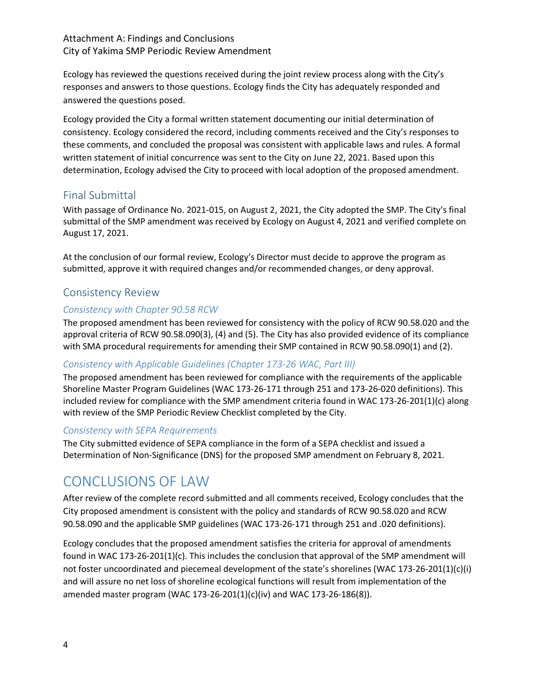Ecology has reviewed the questions received during the joint review process along with the City's responses and answers to those questions. Ecology finds the City has adequately responded and answered the questions posed.

Ecology provided the City a formal written statement documenting our initial determination of consistency. Ecology considered the record, including comments received and the City's responses to these comments, and concluded the proposal was consistent with applicable laws and rules. A formal written statement of initial concurrence was sent to the City on June 22, 2021. Based upon this determination, Ecology advised the City to proceed with local adoption of the proposed amendment.

# Final Submittal

With passage of Ordinance No. 2021-015, on August 2, 2021, the City adopted the SMP. The City's final submittal of the SMP amendment was received by Ecology on August 4, 2021 and verified complete on August 17, 2021.

At the conclusion of our formal review, Ecology's Director must decide to approve the program as submitted, approve it with required changes and/or recommended changes, or deny approval.

# Consistency Review

### *Consistency with Chapter 90.58 RCW*

The proposed amendment has been reviewed for consistency with the policy of RCW 90.58.020 and the approval criteria of RCW 90.58.090(3), (4) and (5). The City has also provided evidence of its compliance with SMA procedural requirements for amending their SMP contained in RCW 90.58.090(1) and (2).

### *Consistency with Applicable Guidelines (Chapter 173-26 WAC, Part III)*

The proposed amendment has been reviewed for compliance with the requirements of the applicable Shoreline Master Program Guidelines (WAC 173-26-171 through 251 and 173-26-020 definitions). This included review for compliance with the SMP amendment criteria found in WAC 173-26-201(1)(c) along with review of the SMP Periodic Review Checklist completed by the City.

#### *Consistency with SEPA Requirements*

The City submitted evidence of SEPA compliance in the form of a SEPA checklist and issued a Determination of Non-Significance (DNS) for the proposed SMP amendment on February 8, 2021.

# CONCLUSIONS OF LAW

After review of the complete record submitted and all comments received, Ecology concludes that the City proposed amendment is consistent with the policy and standards of RCW 90.58.020 and RCW 90.58.090 and the applicable SMP guidelines (WAC 173-26-171 through 251 and .020 definitions).

Ecology concludes that the proposed amendment satisfies the criteria for approval of amendments found in WAC 173-26-201(1)(c). This includes the conclusion that approval of the SMP amendment will not foster uncoordinated and piecemeal development of the state's shorelines (WAC 173-26-201(1)(c)(i) and will assure no net loss of shoreline ecological functions will result from implementation of the amended master program (WAC 173-26-201(1)(c)(iv) and WAC 173-26-186(8)).